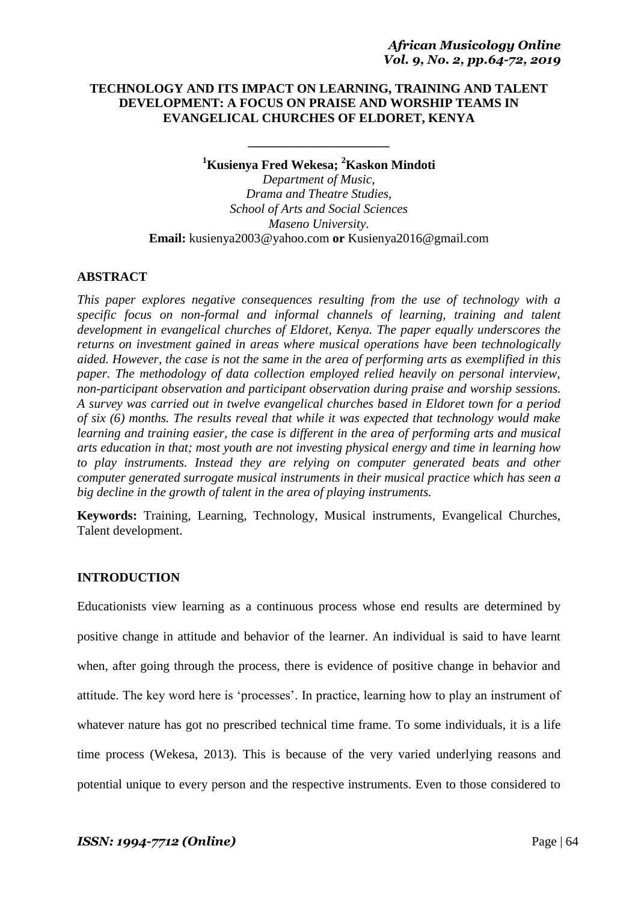## **TECHNOLOGY AND ITS IMPACT ON LEARNING, TRAINING AND TALENT DEVELOPMENT: A FOCUS ON PRAISE AND WORSHIP TEAMS IN EVANGELICAL CHURCHES OF ELDORET, KENYA**

**<sup>1</sup>Kusienya Fred Wekesa; <sup>2</sup>Kaskon Mindoti**

**\_\_\_\_\_\_\_\_\_\_\_\_\_\_\_\_\_\_\_\_\_\_**

*Department of Music, Drama and Theatre Studies, School of Arts and Social Sciences Maseno University.* **Email:** kusienya2003@yahoo.com **or** Kusienya2016@gmail.com

## **ABSTRACT**

*This paper explores negative consequences resulting from the use of technology with a specific focus on non-formal and informal channels of learning, training and talent development in evangelical churches of Eldoret, Kenya. The paper equally underscores the returns on investment gained in areas where musical operations have been technologically aided. However, the case is not the same in the area of performing arts as exemplified in this paper. The methodology of data collection employed relied heavily on personal interview, non-participant observation and participant observation during praise and worship sessions. A survey was carried out in twelve evangelical churches based in Eldoret town for a period of six (6) months. The results reveal that while it was expected that technology would make learning and training easier, the case is different in the area of performing arts and musical arts education in that; most youth are not investing physical energy and time in learning how to play instruments. Instead they are relying on computer generated beats and other computer generated surrogate musical instruments in their musical practice which has seen a big decline in the growth of talent in the area of playing instruments.*

**Keywords:** Training, Learning, Technology, Musical instruments, Evangelical Churches, Talent development.

#### **INTRODUCTION**

Educationists view learning as a continuous process whose end results are determined by positive change in attitude and behavior of the learner. An individual is said to have learnt when, after going through the process, there is evidence of positive change in behavior and attitude. The key word here is "processes". In practice, learning how to play an instrument of whatever nature has got no prescribed technical time frame. To some individuals, it is a life time process (Wekesa, 2013). This is because of the very varied underlying reasons and potential unique to every person and the respective instruments. Even to those considered to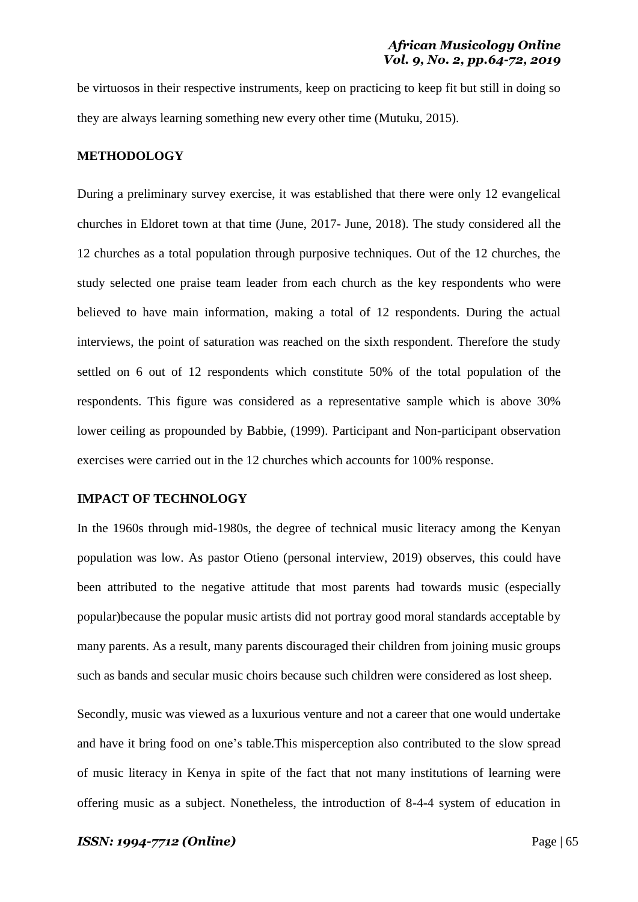be virtuosos in their respective instruments, keep on practicing to keep fit but still in doing so they are always learning something new every other time (Mutuku, 2015).

#### **METHODOLOGY**

During a preliminary survey exercise, it was established that there were only 12 evangelical churches in Eldoret town at that time (June, 2017- June, 2018). The study considered all the 12 churches as a total population through purposive techniques. Out of the 12 churches, the study selected one praise team leader from each church as the key respondents who were believed to have main information, making a total of 12 respondents. During the actual interviews, the point of saturation was reached on the sixth respondent. Therefore the study settled on 6 out of 12 respondents which constitute 50% of the total population of the respondents. This figure was considered as a representative sample which is above 30% lower ceiling as propounded by Babbie, (1999). Participant and Non-participant observation exercises were carried out in the 12 churches which accounts for 100% response.

## **IMPACT OF TECHNOLOGY**

In the 1960s through mid-1980s, the degree of technical music literacy among the Kenyan population was low. As pastor Otieno (personal interview, 2019) observes, this could have been attributed to the negative attitude that most parents had towards music (especially popular)because the popular music artists did not portray good moral standards acceptable by many parents. As a result, many parents discouraged their children from joining music groups such as bands and secular music choirs because such children were considered as lost sheep.

Secondly, music was viewed as a luxurious venture and not a career that one would undertake and have it bring food on one"s table.This misperception also contributed to the slow spread of music literacy in Kenya in spite of the fact that not many institutions of learning were offering music as a subject. Nonetheless, the introduction of 8-4-4 system of education in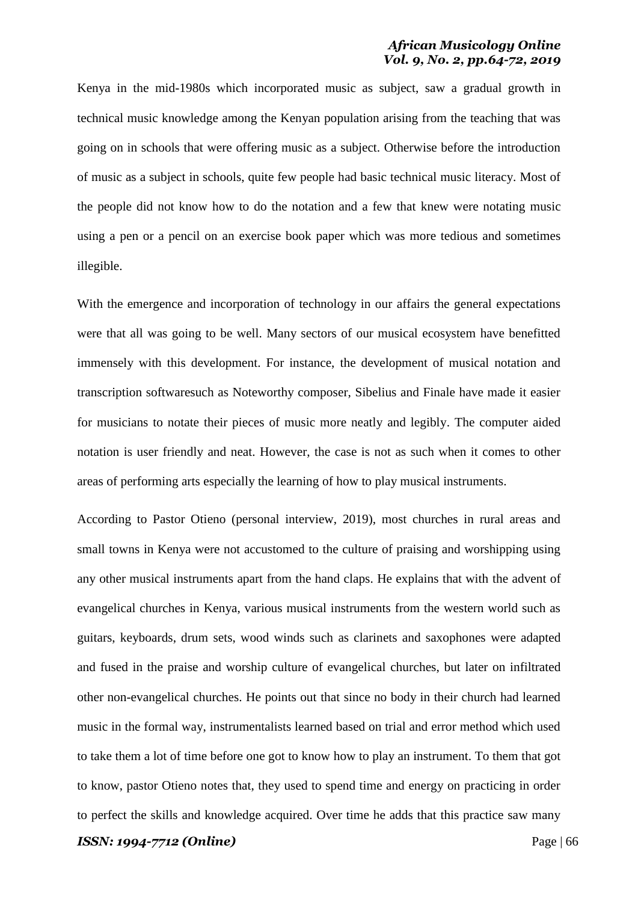Kenya in the mid-1980s which incorporated music as subject, saw a gradual growth in technical music knowledge among the Kenyan population arising from the teaching that was going on in schools that were offering music as a subject. Otherwise before the introduction of music as a subject in schools, quite few people had basic technical music literacy. Most of the people did not know how to do the notation and a few that knew were notating music using a pen or a pencil on an exercise book paper which was more tedious and sometimes illegible.

With the emergence and incorporation of technology in our affairs the general expectations were that all was going to be well. Many sectors of our musical ecosystem have benefitted immensely with this development. For instance, the development of musical notation and transcription softwaresuch as Noteworthy composer, Sibelius and Finale have made it easier for musicians to notate their pieces of music more neatly and legibly. The computer aided notation is user friendly and neat. However, the case is not as such when it comes to other areas of performing arts especially the learning of how to play musical instruments.

According to Pastor Otieno (personal interview, 2019), most churches in rural areas and small towns in Kenya were not accustomed to the culture of praising and worshipping using any other musical instruments apart from the hand claps. He explains that with the advent of evangelical churches in Kenya, various musical instruments from the western world such as guitars, keyboards, drum sets, wood winds such as clarinets and saxophones were adapted and fused in the praise and worship culture of evangelical churches, but later on infiltrated other non-evangelical churches. He points out that since no body in their church had learned music in the formal way, instrumentalists learned based on trial and error method which used to take them a lot of time before one got to know how to play an instrument. To them that got to know, pastor Otieno notes that, they used to spend time and energy on practicing in order to perfect the skills and knowledge acquired. Over time he adds that this practice saw many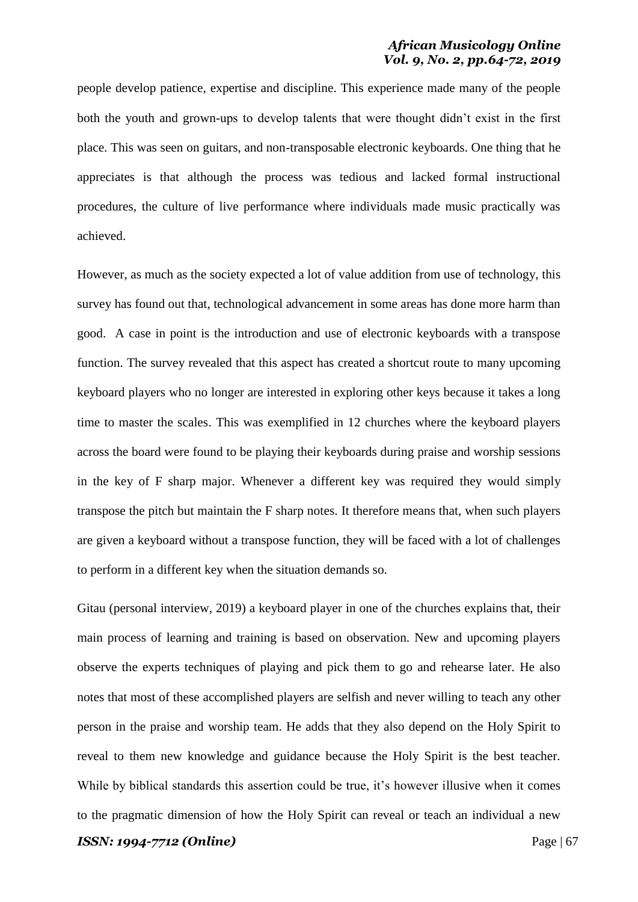people develop patience, expertise and discipline. This experience made many of the people both the youth and grown-ups to develop talents that were thought didn"t exist in the first place. This was seen on guitars, and non-transposable electronic keyboards. One thing that he appreciates is that although the process was tedious and lacked formal instructional procedures, the culture of live performance where individuals made music practically was achieved.

However, as much as the society expected a lot of value addition from use of technology, this survey has found out that, technological advancement in some areas has done more harm than good. A case in point is the introduction and use of electronic keyboards with a transpose function. The survey revealed that this aspect has created a shortcut route to many upcoming keyboard players who no longer are interested in exploring other keys because it takes a long time to master the scales. This was exemplified in 12 churches where the keyboard players across the board were found to be playing their keyboards during praise and worship sessions in the key of F sharp major. Whenever a different key was required they would simply transpose the pitch but maintain the F sharp notes. It therefore means that, when such players are given a keyboard without a transpose function, they will be faced with a lot of challenges to perform in a different key when the situation demands so.

Gitau (personal interview, 2019) a keyboard player in one of the churches explains that, their main process of learning and training is based on observation. New and upcoming players observe the experts techniques of playing and pick them to go and rehearse later. He also notes that most of these accomplished players are selfish and never willing to teach any other person in the praise and worship team. He adds that they also depend on the Holy Spirit to reveal to them new knowledge and guidance because the Holy Spirit is the best teacher. While by biblical standards this assertion could be true, it's however illusive when it comes to the pragmatic dimension of how the Holy Spirit can reveal or teach an individual a new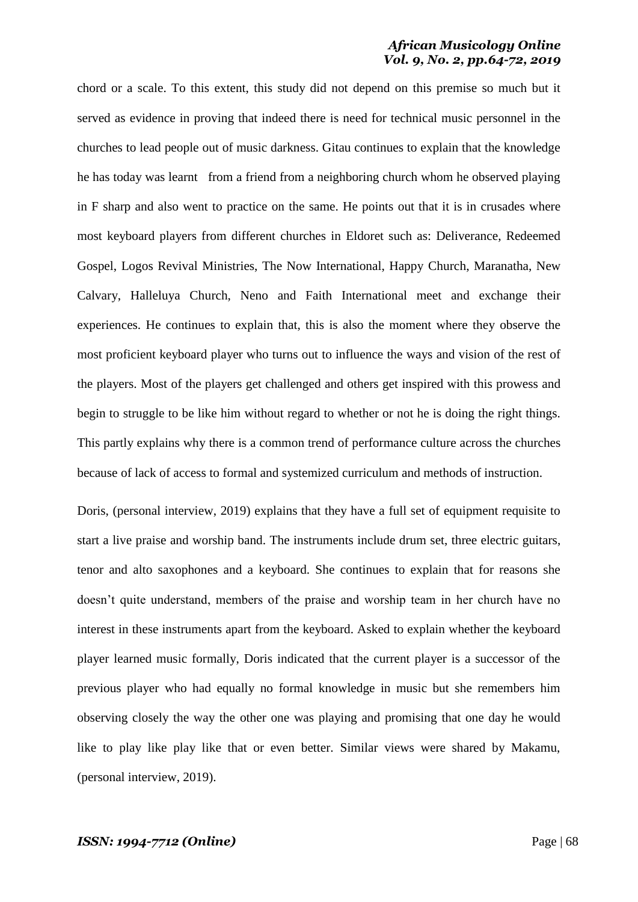chord or a scale. To this extent, this study did not depend on this premise so much but it served as evidence in proving that indeed there is need for technical music personnel in the churches to lead people out of music darkness. Gitau continues to explain that the knowledge he has today was learnt from a friend from a neighboring church whom he observed playing in F sharp and also went to practice on the same. He points out that it is in crusades where most keyboard players from different churches in Eldoret such as: Deliverance, Redeemed Gospel, Logos Revival Ministries, The Now International, Happy Church, Maranatha, New Calvary, Halleluya Church, Neno and Faith International meet and exchange their experiences. He continues to explain that, this is also the moment where they observe the most proficient keyboard player who turns out to influence the ways and vision of the rest of the players. Most of the players get challenged and others get inspired with this prowess and begin to struggle to be like him without regard to whether or not he is doing the right things. This partly explains why there is a common trend of performance culture across the churches because of lack of access to formal and systemized curriculum and methods of instruction.

Doris, (personal interview, 2019) explains that they have a full set of equipment requisite to start a live praise and worship band. The instruments include drum set, three electric guitars, tenor and alto saxophones and a keyboard. She continues to explain that for reasons she doesn"t quite understand, members of the praise and worship team in her church have no interest in these instruments apart from the keyboard. Asked to explain whether the keyboard player learned music formally, Doris indicated that the current player is a successor of the previous player who had equally no formal knowledge in music but she remembers him observing closely the way the other one was playing and promising that one day he would like to play like play like that or even better. Similar views were shared by Makamu, (personal interview, 2019).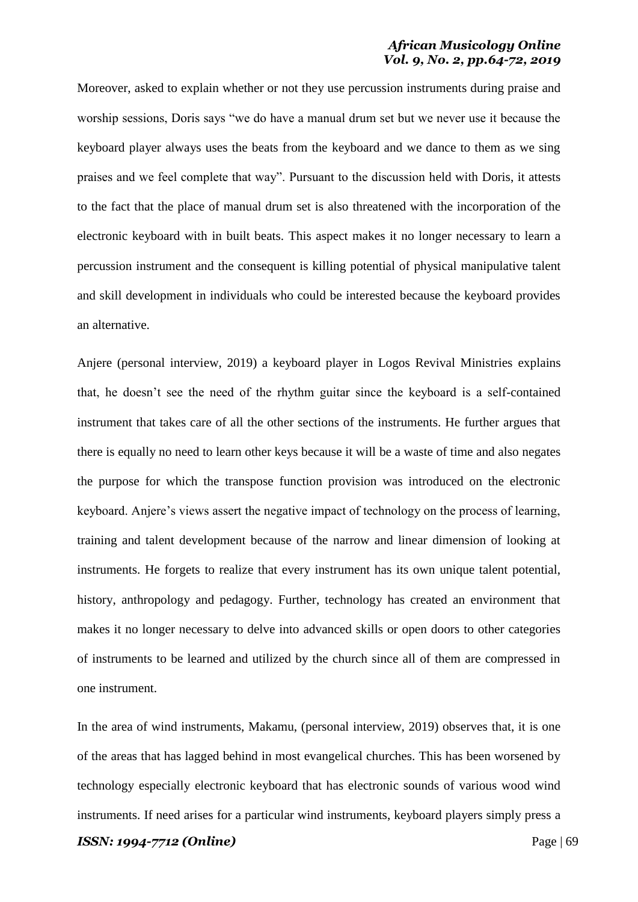Moreover, asked to explain whether or not they use percussion instruments during praise and worship sessions, Doris says "we do have a manual drum set but we never use it because the keyboard player always uses the beats from the keyboard and we dance to them as we sing praises and we feel complete that way". Pursuant to the discussion held with Doris, it attests to the fact that the place of manual drum set is also threatened with the incorporation of the electronic keyboard with in built beats. This aspect makes it no longer necessary to learn a percussion instrument and the consequent is killing potential of physical manipulative talent and skill development in individuals who could be interested because the keyboard provides an alternative.

Anjere (personal interview, 2019) a keyboard player in Logos Revival Ministries explains that, he doesn"t see the need of the rhythm guitar since the keyboard is a self-contained instrument that takes care of all the other sections of the instruments. He further argues that there is equally no need to learn other keys because it will be a waste of time and also negates the purpose for which the transpose function provision was introduced on the electronic keyboard. Anjere's views assert the negative impact of technology on the process of learning, training and talent development because of the narrow and linear dimension of looking at instruments. He forgets to realize that every instrument has its own unique talent potential, history, anthropology and pedagogy. Further, technology has created an environment that makes it no longer necessary to delve into advanced skills or open doors to other categories of instruments to be learned and utilized by the church since all of them are compressed in one instrument.

In the area of wind instruments, Makamu, (personal interview, 2019) observes that, it is one of the areas that has lagged behind in most evangelical churches. This has been worsened by technology especially electronic keyboard that has electronic sounds of various wood wind instruments. If need arises for a particular wind instruments, keyboard players simply press a

```
ISSN: 1994-7712 (Online) Page | 69
```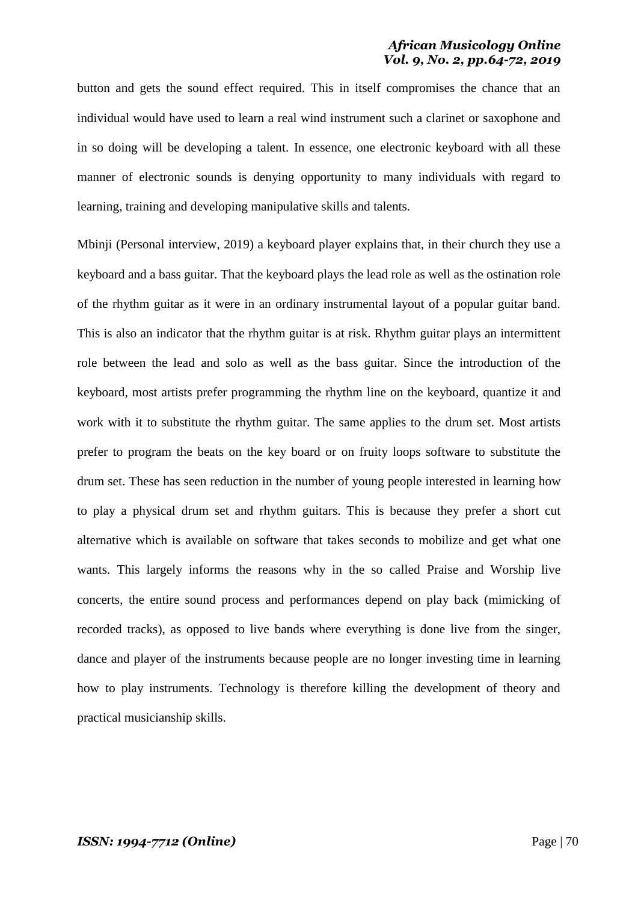button and gets the sound effect required. This in itself compromises the chance that an individual would have used to learn a real wind instrument such a clarinet or saxophone and in so doing will be developing a talent. In essence, one electronic keyboard with all these manner of electronic sounds is denying opportunity to many individuals with regard to learning, training and developing manipulative skills and talents.

Mbinji (Personal interview, 2019) a keyboard player explains that, in their church they use a keyboard and a bass guitar. That the keyboard plays the lead role as well as the ostination role of the rhythm guitar as it were in an ordinary instrumental layout of a popular guitar band. This is also an indicator that the rhythm guitar is at risk. Rhythm guitar plays an intermittent role between the lead and solo as well as the bass guitar. Since the introduction of the keyboard, most artists prefer programming the rhythm line on the keyboard, quantize it and work with it to substitute the rhythm guitar. The same applies to the drum set. Most artists prefer to program the beats on the key board or on fruity loops software to substitute the drum set. These has seen reduction in the number of young people interested in learning how to play a physical drum set and rhythm guitars. This is because they prefer a short cut alternative which is available on software that takes seconds to mobilize and get what one wants. This largely informs the reasons why in the so called Praise and Worship live concerts, the entire sound process and performances depend on play back (mimicking of recorded tracks), as opposed to live bands where everything is done live from the singer, dance and player of the instruments because people are no longer investing time in learning how to play instruments. Technology is therefore killing the development of theory and practical musicianship skills.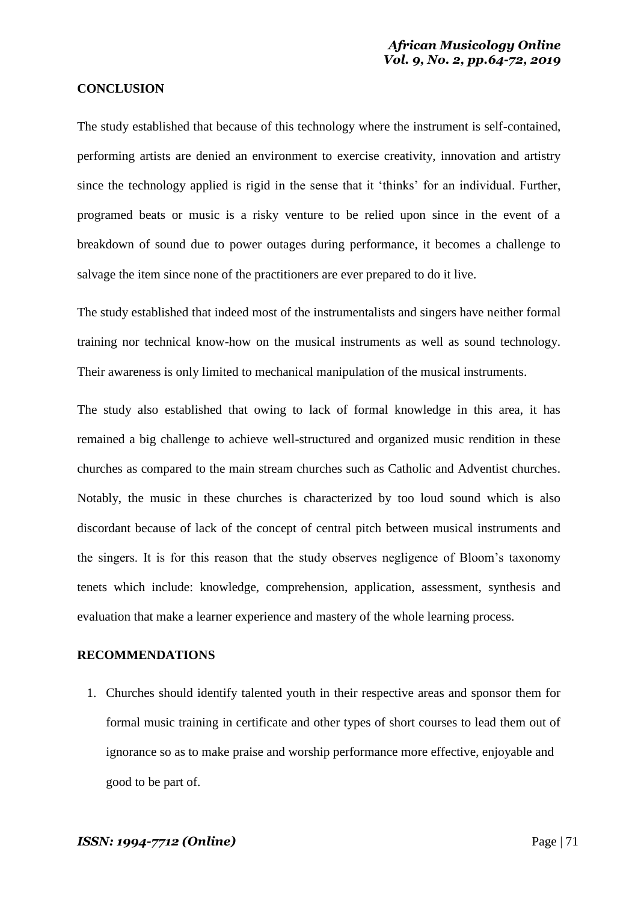#### **CONCLUSION**

The study established that because of this technology where the instrument is self-contained, performing artists are denied an environment to exercise creativity, innovation and artistry since the technology applied is rigid in the sense that it 'thinks' for an individual. Further, programed beats or music is a risky venture to be relied upon since in the event of a breakdown of sound due to power outages during performance, it becomes a challenge to salvage the item since none of the practitioners are ever prepared to do it live.

The study established that indeed most of the instrumentalists and singers have neither formal training nor technical know-how on the musical instruments as well as sound technology. Their awareness is only limited to mechanical manipulation of the musical instruments.

The study also established that owing to lack of formal knowledge in this area, it has remained a big challenge to achieve well-structured and organized music rendition in these churches as compared to the main stream churches such as Catholic and Adventist churches. Notably, the music in these churches is characterized by too loud sound which is also discordant because of lack of the concept of central pitch between musical instruments and the singers. It is for this reason that the study observes negligence of Bloom"s taxonomy tenets which include: knowledge, comprehension, application, assessment, synthesis and evaluation that make a learner experience and mastery of the whole learning process.

#### **RECOMMENDATIONS**

1. Churches should identify talented youth in their respective areas and sponsor them for formal music training in certificate and other types of short courses to lead them out of ignorance so as to make praise and worship performance more effective, enjoyable and good to be part of.